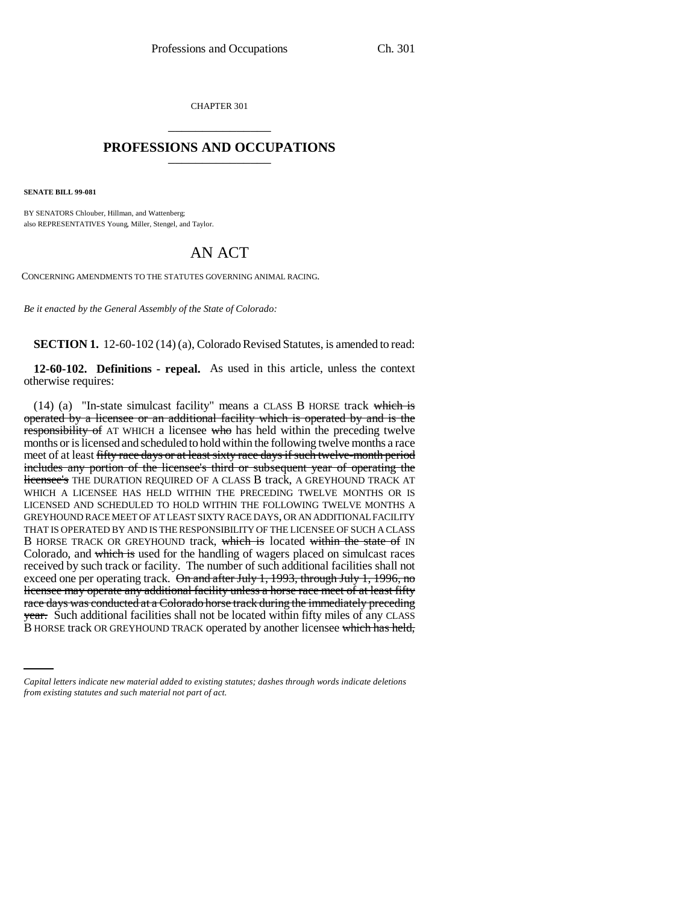CHAPTER 301 \_\_\_\_\_\_\_\_\_\_\_\_\_\_\_

## **PROFESSIONS AND OCCUPATIONS** \_\_\_\_\_\_\_\_\_\_\_\_\_\_\_

**SENATE BILL 99-081** 

BY SENATORS Chlouber, Hillman, and Wattenberg; also REPRESENTATIVES Young, Miller, Stengel, and Taylor.

## AN ACT

CONCERNING AMENDMENTS TO THE STATUTES GOVERNING ANIMAL RACING.

*Be it enacted by the General Assembly of the State of Colorado:*

**SECTION 1.** 12-60-102 (14) (a), Colorado Revised Statutes, is amended to read:

**12-60-102. Definitions - repeal.** As used in this article, unless the context otherwise requires:

race days was conducted at a Colorado horse track during the infinemately preceding<br><del>year.</del> Such additional facilities shall not be located within fifty miles of any CLASS  $(14)$  (a) "In-state simulcast facility" means a CLASS B HORSE track which is operated by a licensee or an additional facility which is operated by and is the responsibility of AT WHICH a licensee who has held within the preceding twelve months or is licensed and scheduled to hold within the following twelve months a race meet of at least fifty race days or at least sixty race days if such twelve-month period includes any portion of the licensee's third or subsequent year of operating the licensee's THE DURATION REQUIRED OF A CLASS B track, A GREYHOUND TRACK AT WHICH A LICENSEE HAS HELD WITHIN THE PRECEDING TWELVE MONTHS OR IS LICENSED AND SCHEDULED TO HOLD WITHIN THE FOLLOWING TWELVE MONTHS A GREYHOUND RACE MEET OF AT LEAST SIXTY RACE DAYS, OR AN ADDITIONAL FACILITY THAT IS OPERATED BY AND IS THE RESPONSIBILITY OF THE LICENSEE OF SUCH A CLASS B HORSE TRACK OR GREYHOUND track, which is located within the state of IN Colorado, and which is used for the handling of wagers placed on simulcast races received by such track or facility. The number of such additional facilities shall not exceed one per operating track. On and after July 1, 1993, through July 1, 1996, no licensee may operate any additional facility unless a horse race meet of at least fifty race days was conducted at a Colorado horse track during the immediately preceding B HORSE track OR GREYHOUND TRACK operated by another licensee which has held,

*Capital letters indicate new material added to existing statutes; dashes through words indicate deletions from existing statutes and such material not part of act.*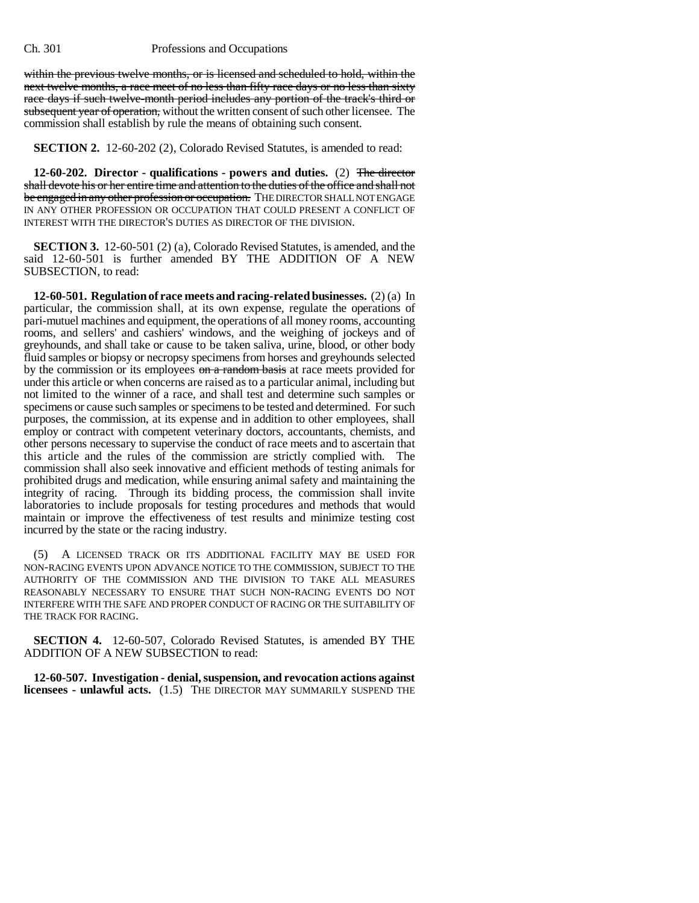## Ch. 301 Professions and Occupations

within the previous twelve months, or is licensed and scheduled to hold, within the next twelve months, a race meet of no less than fifty race days or no less than sixty race days if such twelve-month period includes any portion of the track's third or subsequent year of operation, without the written consent of such other licensee. The commission shall establish by rule the means of obtaining such consent.

**SECTION 2.** 12-60-202 (2), Colorado Revised Statutes, is amended to read:

**12-60-202. Director - qualifications - powers and duties.** (2) The director shall devote his or her entire time and attention to the duties of the office and shall not be engaged in any other profession or occupation. THE DIRECTOR SHALL NOT ENGAGE IN ANY OTHER PROFESSION OR OCCUPATION THAT COULD PRESENT A CONFLICT OF INTEREST WITH THE DIRECTOR'S DUTIES AS DIRECTOR OF THE DIVISION.

**SECTION 3.** 12-60-501 (2) (a), Colorado Revised Statutes, is amended, and the said 12-60-501 is further amended BY THE ADDITION OF A NEW SUBSECTION, to read:

**12-60-501. Regulation of race meets and racing-related businesses.** (2) (a) In particular, the commission shall, at its own expense, regulate the operations of pari-mutuel machines and equipment, the operations of all money rooms, accounting rooms, and sellers' and cashiers' windows, and the weighing of jockeys and of greyhounds, and shall take or cause to be taken saliva, urine, blood, or other body fluid samples or biopsy or necropsy specimens from horses and greyhounds selected by the commission or its employees on a random basis at race meets provided for under this article or when concerns are raised as to a particular animal, including but not limited to the winner of a race, and shall test and determine such samples or specimens or cause such samples or specimens to be tested and determined. For such purposes, the commission, at its expense and in addition to other employees, shall employ or contract with competent veterinary doctors, accountants, chemists, and other persons necessary to supervise the conduct of race meets and to ascertain that this article and the rules of the commission are strictly complied with. The commission shall also seek innovative and efficient methods of testing animals for prohibited drugs and medication, while ensuring animal safety and maintaining the integrity of racing. Through its bidding process, the commission shall invite laboratories to include proposals for testing procedures and methods that would maintain or improve the effectiveness of test results and minimize testing cost incurred by the state or the racing industry.

(5) A LICENSED TRACK OR ITS ADDITIONAL FACILITY MAY BE USED FOR NON-RACING EVENTS UPON ADVANCE NOTICE TO THE COMMISSION, SUBJECT TO THE AUTHORITY OF THE COMMISSION AND THE DIVISION TO TAKE ALL MEASURES REASONABLY NECESSARY TO ENSURE THAT SUCH NON-RACING EVENTS DO NOT INTERFERE WITH THE SAFE AND PROPER CONDUCT OF RACING OR THE SUITABILITY OF THE TRACK FOR RACING.

**SECTION 4.** 12-60-507, Colorado Revised Statutes, is amended BY THE ADDITION OF A NEW SUBSECTION to read:

**12-60-507. Investigation - denial, suspension, and revocation actions against licensees - unlawful acts.** (1.5) THE DIRECTOR MAY SUMMARILY SUSPEND THE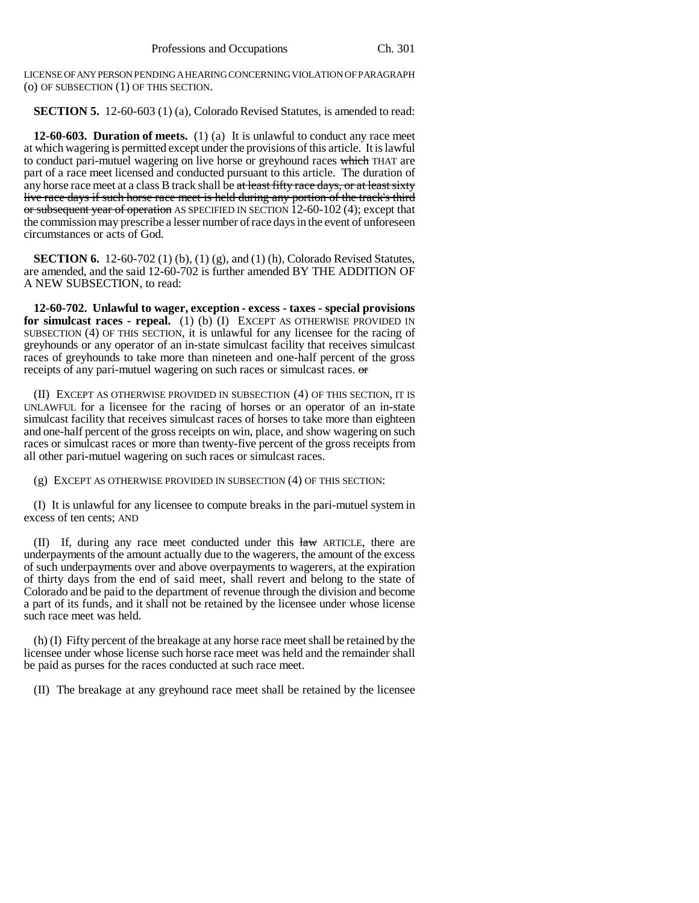LICENSE OF ANY PERSON PENDING A HEARING CONCERNING VIOLATION OF PARAGRAPH (o) OF SUBSECTION (1) OF THIS SECTION.

**SECTION 5.** 12-60-603 (1) (a), Colorado Revised Statutes, is amended to read:

**12-60-603. Duration of meets.** (1) (a) It is unlawful to conduct any race meet at which wagering is permitted except under the provisions of this article. It is lawful to conduct pari-mutuel wagering on live horse or greyhound races which THAT are part of a race meet licensed and conducted pursuant to this article. The duration of any horse race meet at a class B track shall be at least fifty race days, or at least sixty live race days if such horse race meet is held during any portion of the track's third or subsequent year of operation AS SPECIFIED IN SECTION 12-60-102 (4); except that the commission may prescribe a lesser number of race days in the event of unforeseen circumstances or acts of God.

**SECTION 6.** 12-60-702 (1) (b), (1) (g), and (1) (h), Colorado Revised Statutes, are amended, and the said 12-60-702 is further amended BY THE ADDITION OF A NEW SUBSECTION, to read:

**12-60-702. Unlawful to wager, exception - excess - taxes - special provisions for simulcast races - repeal.** (1) (b) (I) EXCEPT AS OTHERWISE PROVIDED IN SUBSECTION (4) OF THIS SECTION, it is unlawful for any licensee for the racing of greyhounds or any operator of an in-state simulcast facility that receives simulcast races of greyhounds to take more than nineteen and one-half percent of the gross receipts of any pari-mutuel wagering on such races or simulcast races.  $\sigma$ 

(II) EXCEPT AS OTHERWISE PROVIDED IN SUBSECTION (4) OF THIS SECTION, IT IS UNLAWFUL for a licensee for the racing of horses or an operator of an in-state simulcast facility that receives simulcast races of horses to take more than eighteen and one-half percent of the gross receipts on win, place, and show wagering on such races or simulcast races or more than twenty-five percent of the gross receipts from all other pari-mutuel wagering on such races or simulcast races.

(g) EXCEPT AS OTHERWISE PROVIDED IN SUBSECTION (4) OF THIS SECTION:

(I) It is unlawful for any licensee to compute breaks in the pari-mutuel system in excess of ten cents; AND

(II) If, during any race meet conducted under this law ARTICLE, there are underpayments of the amount actually due to the wagerers, the amount of the excess of such underpayments over and above overpayments to wagerers, at the expiration of thirty days from the end of said meet, shall revert and belong to the state of Colorado and be paid to the department of revenue through the division and become a part of its funds, and it shall not be retained by the licensee under whose license such race meet was held.

(h) (I) Fifty percent of the breakage at any horse race meet shall be retained by the licensee under whose license such horse race meet was held and the remainder shall be paid as purses for the races conducted at such race meet.

(II) The breakage at any greyhound race meet shall be retained by the licensee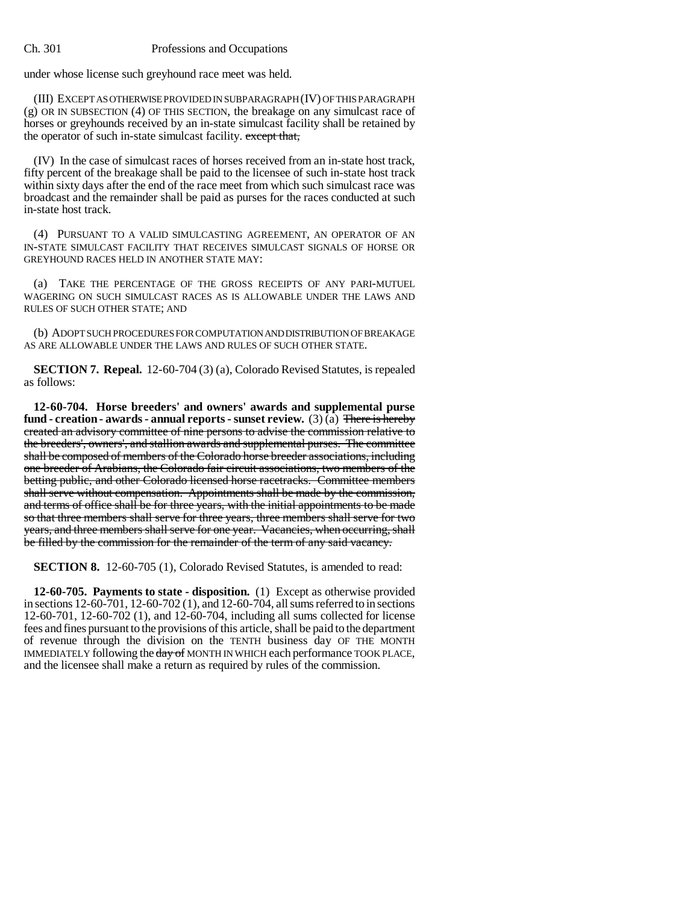under whose license such greyhound race meet was held.

(III) EXCEPT AS OTHERWISE PROVIDED IN SUBPARAGRAPH (IV) OF THIS PARAGRAPH (g) OR IN SUBSECTION (4) OF THIS SECTION, the breakage on any simulcast race of horses or greyhounds received by an in-state simulcast facility shall be retained by the operator of such in-state simulcast facility. except that,

(IV) In the case of simulcast races of horses received from an in-state host track, fifty percent of the breakage shall be paid to the licensee of such in-state host track within sixty days after the end of the race meet from which such simulcast race was broadcast and the remainder shall be paid as purses for the races conducted at such in-state host track.

(4) PURSUANT TO A VALID SIMULCASTING AGREEMENT, AN OPERATOR OF AN IN-STATE SIMULCAST FACILITY THAT RECEIVES SIMULCAST SIGNALS OF HORSE OR GREYHOUND RACES HELD IN ANOTHER STATE MAY:

(a) TAKE THE PERCENTAGE OF THE GROSS RECEIPTS OF ANY PARI-MUTUEL WAGERING ON SUCH SIMULCAST RACES AS IS ALLOWABLE UNDER THE LAWS AND RULES OF SUCH OTHER STATE; AND

(b) ADOPT SUCH PROCEDURES FOR COMPUTATION AND DISTRIBUTION OF BREAKAGE AS ARE ALLOWABLE UNDER THE LAWS AND RULES OF SUCH OTHER STATE.

**SECTION 7. Repeal.** 12-60-704 (3) (a), Colorado Revised Statutes, is repealed as follows:

**12-60-704. Horse breeders' and owners' awards and supplemental purse** fund - creation - awards - annual reports - sunset review.  $(3)$   $(a)$  There is hereby created an advisory committee of nine persons to advise the commission relative to the breeders', owners', and stallion awards and supplemental purses. The committee shall be composed of members of the Colorado horse breeder associations, including one breeder of Arabians, the Colorado fair circuit associations, two members of the betting public, and other Colorado licensed horse racetracks. Committee members shall serve without compensation. Appointments shall be made by the commission, and terms of office shall be for three years, with the initial appointments to be made so that three members shall serve for three years, three members shall serve for two years, and three members shall serve for one year. Vacancies, when occurring, shall be filled by the commission for the remainder of the term of any said vacancy.

**SECTION 8.** 12-60-705 (1), Colorado Revised Statutes, is amended to read:

**12-60-705. Payments to state - disposition.** (1) Except as otherwise provided in sections 12-60-701, 12-60-702 (1), and 12-60-704, all sums referred to in sections 12-60-701, 12-60-702 (1), and 12-60-704, including all sums collected for license fees and fines pursuant to the provisions of this article, shall be paid to the department of revenue through the division on the TENTH business day OF THE MONTH IMMEDIATELY following the day of MONTH IN WHICH each performance TOOK PLACE, and the licensee shall make a return as required by rules of the commission.